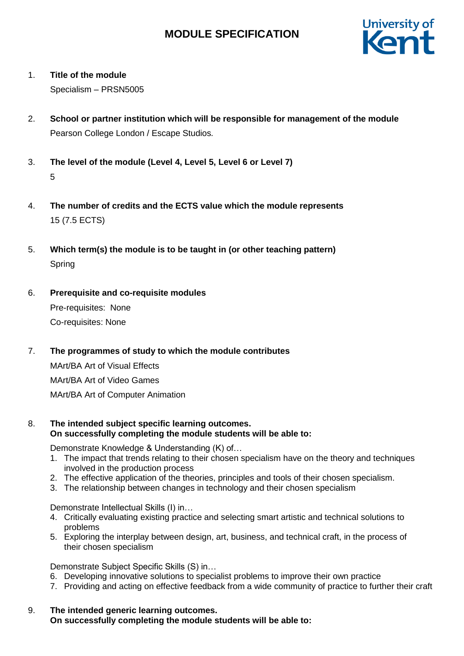

## 1. **Title of the module**

Specialism – PRSN5005

- 2. **School or partner institution which will be responsible for management of the module** Pearson College London / Escape Studios*.*
- 3. **The level of the module (Level 4, Level 5, Level 6 or Level 7)** 5
- 4. **The number of credits and the ECTS value which the module represents**  15 (7.5 ECTS)
- 5. **Which term(s) the module is to be taught in (or other teaching pattern)** Spring
- 6. **Prerequisite and co-requisite modules**

Pre-requisites: None Co-requisites: None

## 7. **The programmes of study to which the module contributes**

MArt/BA Art of Visual Effects MArt/BA Art of Video Games MArt/BA Art of Computer Animation

## 8. **The intended subject specific learning outcomes. On successfully completing the module students will be able to:**

Demonstrate Knowledge & Understanding (K) of…

- 1. The impact that trends relating to their chosen specialism have on the theory and techniques involved in the production process
- 2. The effective application of the theories, principles and tools of their chosen specialism.
- 3. The relationship between changes in technology and their chosen specialism

Demonstrate Intellectual Skills (I) in…

- 4. Critically evaluating existing practice and selecting smart artistic and technical solutions to problems
- 5. Exploring the interplay between design, art, business, and technical craft, in the process of their chosen specialism

Demonstrate Subject Specific Skills (S) in…

- 6. Developing innovative solutions to specialist problems to improve their own practice
- 7. Providing and acting on effective feedback from a wide community of practice to further their craft
- 9. **The intended generic learning outcomes. On successfully completing the module students will be able to:**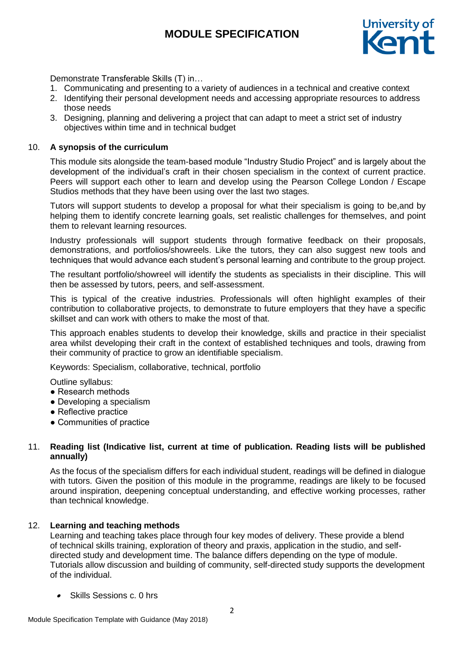

Demonstrate Transferable Skills (T) in…

- 1. Communicating and presenting to a variety of audiences in a technical and creative context
- 2. Identifying their personal development needs and accessing appropriate resources to address those needs
- 3. Designing, planning and delivering a project that can adapt to meet a strict set of industry objectives within time and in technical budget

#### 10. **A synopsis of the curriculum**

This module sits alongside the team-based module "Industry Studio Project" and is largely about the development of the individual's craft in their chosen specialism in the context of current practice. Peers will support each other to learn and develop using the Pearson College London / Escape Studios methods that they have been using over the last two stages.

Tutors will support students to develop a proposal for what their specialism is going to be,and by helping them to identify concrete learning goals, set realistic challenges for themselves, and point them to relevant learning resources.

Industry professionals will support students through formative feedback on their proposals, demonstrations, and portfolios/showreels. Like the tutors, they can also suggest new tools and techniques that would advance each student's personal learning and contribute to the group project.

The resultant portfolio/showreel will identify the students as specialists in their discipline. This will then be assessed by tutors, peers, and self-assessment.

This is typical of the creative industries. Professionals will often highlight examples of their contribution to collaborative projects, to demonstrate to future employers that they have a specific skillset and can work with others to make the most of that.

This approach enables students to develop their knowledge, skills and practice in their specialist area whilst developing their craft in the context of established techniques and tools, drawing from their community of practice to grow an identifiable specialism.

Keywords: Specialism, collaborative, technical, portfolio

Outline syllabus:

- Research methods
- Developing a specialism
- Reflective practice
- Communities of practice

## 11. **Reading list (Indicative list, current at time of publication. Reading lists will be published annually)**

As the focus of the specialism differs for each individual student, readings will be defined in dialogue with tutors. Given the position of this module in the programme, readings are likely to be focused around inspiration, deepening conceptual understanding, and effective working processes, rather than technical knowledge.

#### 12. **Learning and teaching methods**

Learning and teaching takes place through four key modes of delivery. These provide a blend of technical skills training, exploration of theory and praxis, application in the studio, and selfdirected study and development time. The balance differs depending on the type of module. Tutorials allow discussion and building of community, self-directed study supports the development of the individual.

• Skills Sessions c. 0 hrs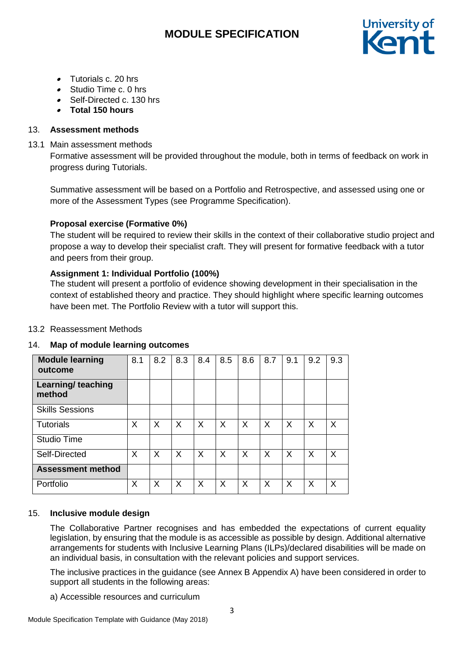

- Tutorials c. 20 hrs
- Studio Time c. 0 hrs
- Self-Directed c. 130 hrs
- **Total 150 hours**

## 13. **Assessment methods**

## 13.1 Main assessment methods

Formative assessment will be provided throughout the module, both in terms of feedback on work in progress during Tutorials.

Summative assessment will be based on a Portfolio and Retrospective, and assessed using one or more of the Assessment Types (see Programme Specification).

## **Proposal exercise (Formative 0%)**

The student will be required to review their skills in the context of their collaborative studio project and propose a way to develop their specialist craft. They will present for formative feedback with a tutor and peers from their group.

## **Assignment 1: Individual Portfolio (100%)**

The student will present a portfolio of evidence showing development in their specialisation in the context of established theory and practice. They should highlight where specific learning outcomes have been met. The Portfolio Review with a tutor will support this.

## 13.2 Reassessment Methods

## 14. **Map of module learning outcomes**

| <b>Module learning</b><br>outcome   | 8.1 | 8.2 | 8.3 | 8.4 | 8.5 | 8.6 | 8.7 | 9.1 | 9.2      | 9.3 |
|-------------------------------------|-----|-----|-----|-----|-----|-----|-----|-----|----------|-----|
| <b>Learning/ teaching</b><br>method |     |     |     |     |     |     |     |     |          |     |
| <b>Skills Sessions</b>              |     |     |     |     |     |     |     |     |          |     |
| <b>Tutorials</b>                    | X   | X   | X   | X   | X   | X   | X   | X   | $\times$ | X   |
| <b>Studio Time</b>                  |     |     |     |     |     |     |     |     |          |     |
| Self-Directed                       | X   | X   | X   | X   | X   | X   | X   | X   | $\times$ | X   |
| <b>Assessment method</b>            |     |     |     |     |     |     |     |     |          |     |
| Portfolio                           | X   | X   | X   | X   | X   | X   | X   | X   | $\times$ | Χ   |

## 15. **Inclusive module design**

The Collaborative Partner recognises and has embedded the expectations of current equality legislation, by ensuring that the module is as accessible as possible by design. Additional alternative arrangements for students with Inclusive Learning Plans (ILPs)/declared disabilities will be made on an individual basis, in consultation with the relevant policies and support services.

The inclusive practices in the guidance (see Annex B Appendix A) have been considered in order to support all students in the following areas:

a) Accessible resources and curriculum